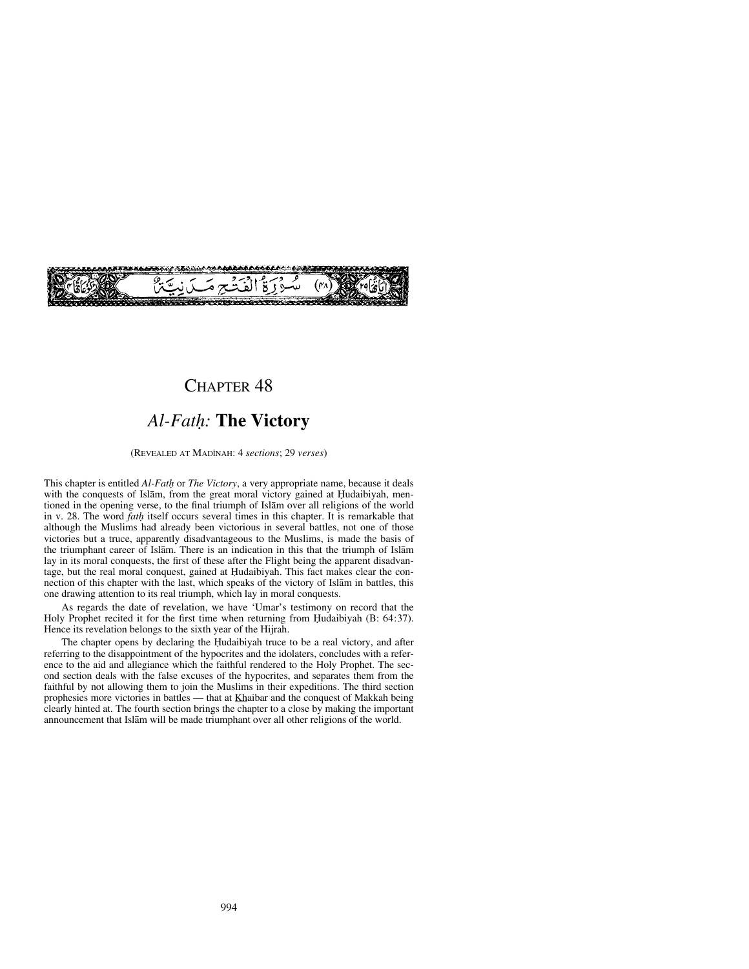

## CHAPTER<sub>48</sub>

# *Al-Fat√:* **The Victory**

#### (REVEALED AT MADÍNAH: 4 *sections*; 29 *verses*)

This chapter is entitled *Al-Fat√* or *The Victory*, a very appropriate name, because it deals with the conquests of Islām, from the great moral victory gained at Hudaibiyah, mentioned in the opening verse, to the final triumph of Islåm over all religions of the world in v. 28. The word *fat√* itself occurs several times in this chapter. It is remarkable that although the Muslims had already been victorious in several battles, not one of those victories but a truce, apparently disadvantageous to the Muslims, is made the basis of the triumphant career of Islåm. There is an indication in this that the triumph of Islåm lay in its moral conquests, the first of these after the Flight being the apparent disadvantage, but the real moral conquest, gained at Hudaibiyah. This fact makes clear the connection of this chapter with the last, which speaks of the victory of Islåm in battles, this one drawing attention to its real triumph, which lay in moral conquests.

As regards the date of revelation, we have 'Umar's testimony on record that the Holy Prophet recited it for the first time when returning from Hudaibiyah (B:  $64:37$ ). Hence its revelation belongs to the sixth year of the Hijrah.

The chapter opens by declaring the Hudaibiyah truce to be a real victory, and after referring to the disappointment of the hypocrites and the idolaters, concludes with a reference to the aid and allegiance which the faithful rendered to the Holy Prophet. The second section deals with the false excuses of the hypocrites, and separates them from the faithful by not allowing them to join the Muslims in their expeditions. The third section prophesies more victories in battles — that at Khaibar and the conquest of Makkah being clearly hinted at. The fourth section brings the chapter to a close by making the important announcement that Islåm will be made triumphant over all other religions of the world.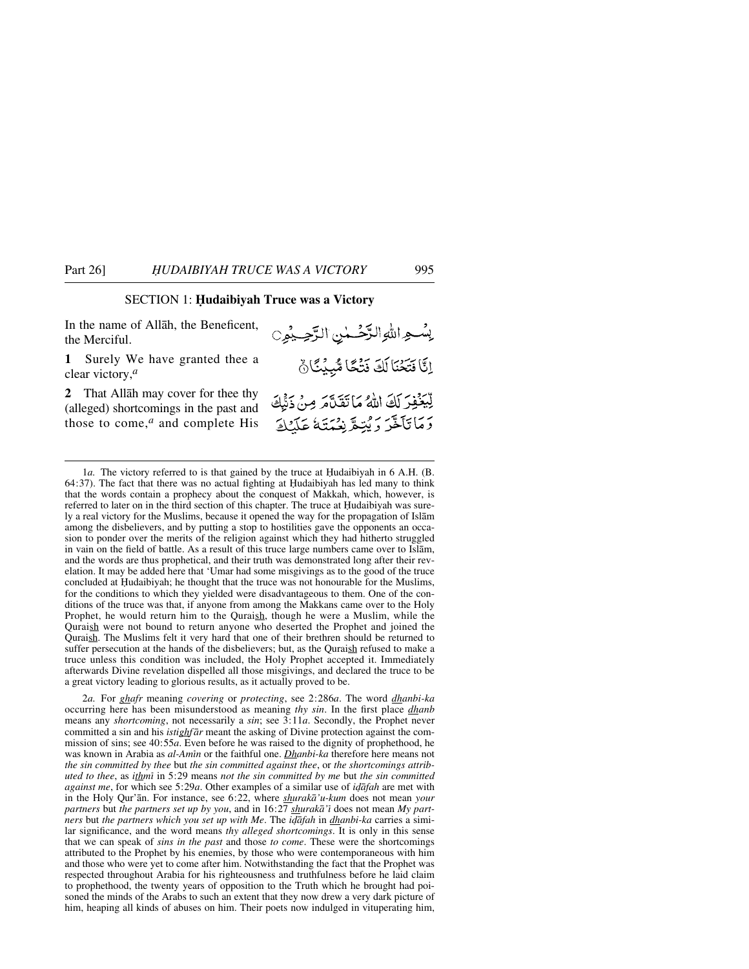#### SECTION 1: **Hudaibiyah Truce was a Victory**

In the name of Allåh, the Beneficent, the Merciful.

**1** Surely We have granted thee a clear victory,*<sup>a</sup>*

**2** That Allåh may cover for thee thy (alleged) shortcomings in the past and those to come,*<sup>a</sup>* and complete His

2*a.* For *ghafr* meaning *covering* or *protecting*, see 2:286*a*. The word *dhanbi-ka* occurring here has been misunderstood as meaning *thy sin*. In the first place *dhanb* means any *shortcoming*, not necessarily a *sin*; see 3:11*a*. Secondly, the Prophet never committed a sin and his *istighfår* meant the asking of Divine protection against the commission of sins; see 40:55*a*. Even before he was raised to the dignity of prophethood, he was known in Arabia as *al-Amßn* or the faithful one. *Dhanbi-ka* therefore here means not *the sin committed by thee* but *the sin committed against thee*, or *the shortcomings attributed to thee*, as *ithmß* in 5:29 means *not the sin committed by me* but *the sin committed against me*, for which see 5:29*a*. Other examples of a similar use of *i˙åfah* are met with in the Holy Qur'ån. For instance, see 6:22, where *shurakå'u-kum* does not mean *your partners* but *the partners set up by you*, and in 16:27 *shurakå'ß* does not mean *My partners* but *the partners which you set up with Me*. The *i˙åfah* in *dhanbi-ka* carries a similar significance, and the word means *thy alleged shortcomings*. It is only in this sense that we can speak of *sins in the past* and those *to come*. These were the shortcomings attributed to the Prophet by his enemies, by those who were contemporaneous with him and those who were yet to come after him. Notwithstanding the fact that the Prophet was respected throughout Arabia for his righteousness and truthfulness before he laid claim to prophethood, the twenty years of opposition to the Truth which he brought had poisoned the minds of the Arabs to such an extent that they now drew a very dark picture of him, heaping all kinds of abuses on him. Their poets now indulged in vituperating him,

بِسُواللهِ الرَّحْمٰنِ الرَّحِيْمِيِّ إِنَّا فَتَخْنَا لَكَ نَتْكًا مُّبِيُنَّانٌ لِّيَخْفِرَ لَكَ اللَّهُ مَا تَقَلَّمَ مِنْ ذَنِّيكَ دَمَاتَآخَرَ دَيْتِعَ بِنِيَتِيَةً عَلَيْكَ

<sup>1</sup>*a*. The victory referred to is that gained by the truce at Hudaibiyah in 6 A.H. (B.  $64:37$ ). The fact that there was no actual fighting at Hudaibiyah has led many to think that the words contain a prophecy about the conquest of Makkah, which, however, is referred to later on in the third section of this chapter. The truce at Hudaibiyah was surely a real victory for the Muslims, because it opened the way for the propagation of Islåm among the disbelievers, and by putting a stop to hostilities gave the opponents an occasion to ponder over the merits of the religion against which they had hitherto struggled in vain on the field of battle. As a result of this truce large numbers came over to Islåm, and the words are thus prophetical, and their truth was demonstrated long after their revelation. It may be added here that 'Umar had some misgivings as to the good of the truce concluded at Hudaibiyah; he thought that the truce was not honourable for the Muslims, for the conditions to which they yielded were disadvantageous to them. One of the conditions of the truce was that, if anyone from among the Makkans came over to the Holy Prophet, he would return him to the Quraish, though he were a Muslim, while the Quraish were not bound to return anyone who deserted the Prophet and joined the Quraish. The Muslims felt it very hard that one of their brethren should be returned to suffer persecution at the hands of the disbelievers; but, as the Quraish refused to make a truce unless this condition was included, the Holy Prophet accepted it. Immediately afterwards Divine revelation dispelled all those misgivings, and declared the truce to be a great victory leading to glorious results, as it actually proved to be.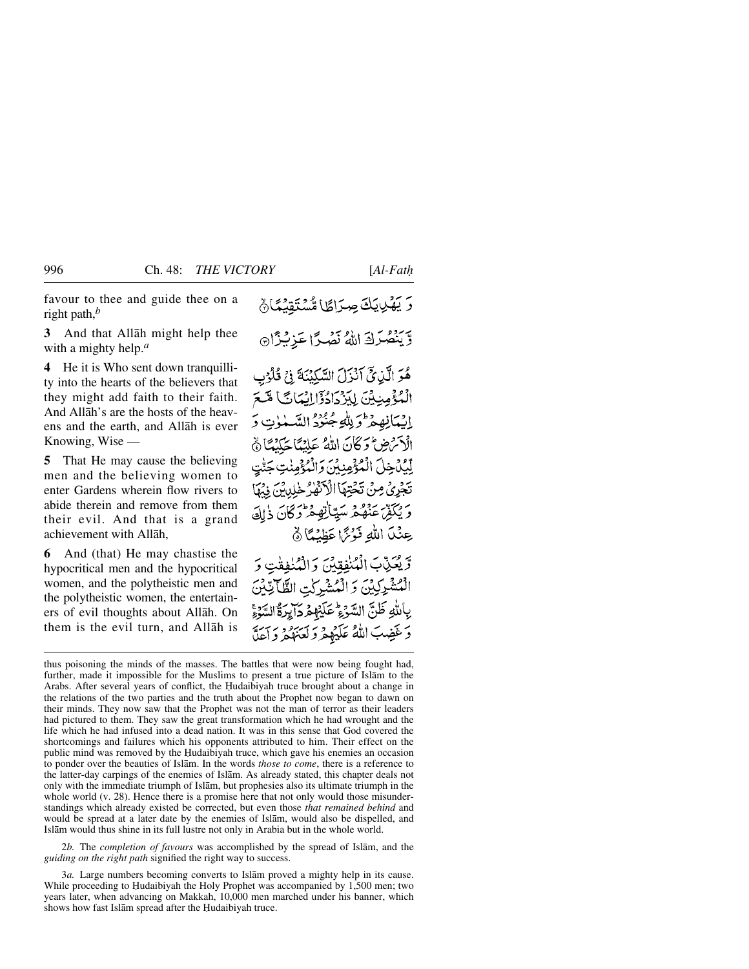favour to thee and guide thee on a right path,*<sup>b</sup>*

**3** And that Allåh might help thee with a mighty help.*<sup>a</sup>*

**4** He it is Who sent down tranquillity into the hearts of the believers that they might add faith to their faith. And Allåh's are the hosts of the heavens and the earth, and Allåh is ever Knowing, Wise —

**5** That He may cause the believing men and the believing women to enter Gardens wherein flow rivers to abide therein and remove from them their evil. And that is a grand achievement with Allåh,

**6** And (that) He may chastise the hypocritical men and the hypocritical women, and the polytheistic men and the polytheistic women, the entertainers of evil thoughts about Allåh. On them is the evil turn, and Allåh is وَيَنْصُرَكَ اللَّهُ نَصْرًا عَزِيْزًا

هُوَ الَّذِيَّ آَنْزَلَ السَّكِيْنَةَ فِي قُلُوْبِ الْمُؤْمِنِيِّنَ لِيَزْدَادُوْٓالِيْكَانَّ) مَّكَّمَّ اِيْمَانِهِمْ وَلِلْهِجُنُوْ السَّلْوٰتِ وَ الْأَسْرَضِ وَكَانَ اللَّهُ عَلِيْنَا حَكَيْمًا ثَ لَّيُكْتَخِلَ الْمُؤْمِنِينَ وَالْمُؤْمِنِٰتِ حَا تَجْرِيُّ مِنْ تَحْتِهَا الْأَذْفَهْ مِنْلِدِينَ ذِمْمَا وَيْكَفِّرْ عَنْهُمْ سَيِّأَتِهِ مِحْرَكَانَ ذَاكَ عِنْكَ اللَّهِ فَوْتَمَا عَظِيْمًا ﴾

وَيَعَنِّبَ الْمُنْفِقِينَ وَالْمُنْفِقْتِ وَ الْمُشْرِكِينَ وَ الْمُشْرِكْتِ الظَّاتِينَ بِاللَّهِ ظَنَّ السَّدَءُ عَلَيْهِمْ دَايِرَةُ السَّدَءِ وَغَضِبَ اللَّهُ عَلَيْهِمْ وَلَعَنَّهُمْ وَأَعَلَّ

2*b.* The *completion of favours* was accomplished by the spread of Islåm, and the *guiding on the right path* signified the right way to success.

وَيَهْدِينَكَ صِرَاطًا مُّسْتَقِنْهَا ۚ

thus poisoning the minds of the masses. The battles that were now being fought had, further, made it impossible for the Muslims to present a true picture of Islåm to the Arabs. After several years of conflict, the Hudaibiyah truce brought about a change in the relations of the two parties and the truth about the Prophet now began to dawn on their minds. They now saw that the Prophet was not the man of terror as their leaders had pictured to them. They saw the great transformation which he had wrought and the life which he had infused into a dead nation. It was in this sense that God covered the shortcomings and failures which his opponents attributed to him. Their effect on the public mind was removed by the Hudaibiyah truce, which gave his enemies an occasion to ponder over the beauties of Islåm. In the words *those to come*, there is a reference to the latter-day carpings of the enemies of Islåm. As already stated, this chapter deals not only with the immediate triumph of Islåm, but prophesies also its ultimate triumph in the whole world (v. 28). Hence there is a promise here that not only would those misunderstandings which already existed be corrected, but even those *that remained behind* and would be spread at a later date by the enemies of Islåm, would also be dispelled, and Islåm would thus shine in its full lustre not only in Arabia but in the whole world.

<sup>3</sup>*a.* Large numbers becoming converts to Islåm proved a mighty help in its cause. While proceeding to Hudaibiyah the Holy Prophet was accompanied by 1,500 men; two years later, when advancing on Makkah, 10,000 men marched under his banner, which shows how fast Islām spread after the Hudaibiyah truce.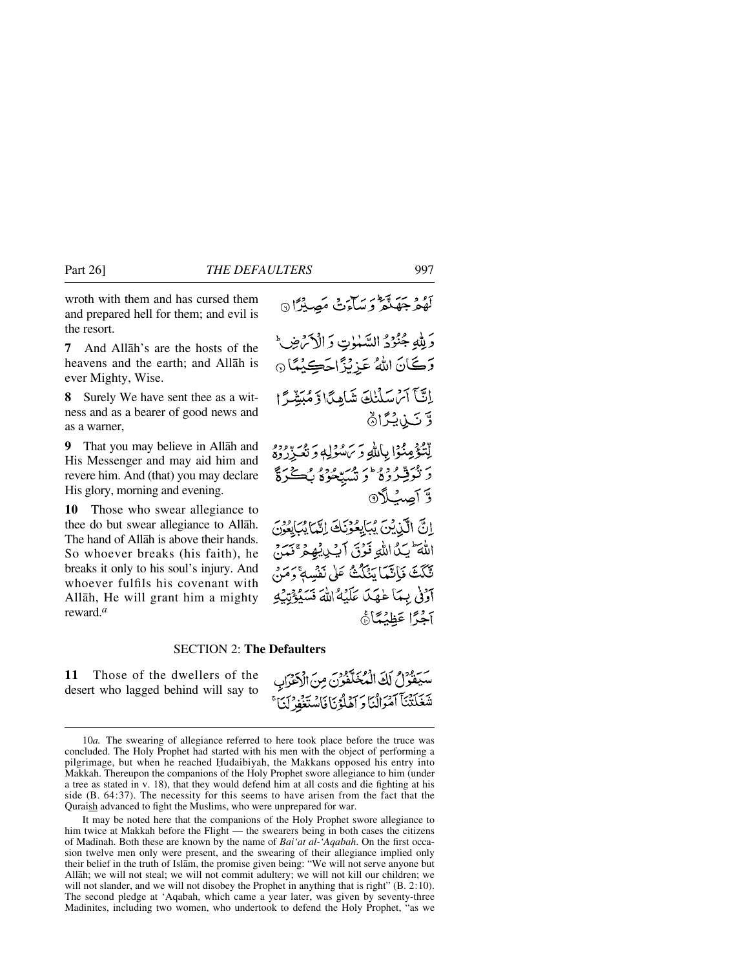wroth with them and has cursed them and prepared hell for them; and evil is the resort.

**7** And Allåh's are the hosts of the heavens and the earth; and Allåh is ever Mighty, Wise.

**8** Surely We have sent thee as a witness and as a bearer of good news and as a warner,

**9** That you may believe in Allåh and His Messenger and may aid him and revere him. And (that) you may declare His glory, morning and evening.

**10** Those who swear allegiance to thee do but swear allegiance to Allåh. The hand of Allåh is above their hands. So whoever breaks (his faith), he breaks it only to his soul's injury. And whoever fulfils his covenant with Allåh, He will grant him a mighty reward.*<sup>a</sup>*

### SECTION 2: **The Defaulters**

**11** Those of the dwellers of the desert who lagged behind will say to آَوْنَى بِيمَا عَٰهَدَا عَلَيْهُ اللَّهَ نَسَيُؤُنِّيَٰ بِهِ آخَرًا عَظِنْتَانَ

لَّهُمْ جَهَنَّعَ وَسَاءَتْ مَصِيْرًا ۞

وَلِلَّهِ جُنُوُدُ السَّنْوٰتِ وَالْكُرَضِ رَكَانَ اللهُ عَزِيْزًاحَكِيْمًا @

إِنَّبَآَ آَسُ سَلَّنَكَ شَاهِدًا وَ مُبَشَّرًا

لِتْتُؤْمِنُوْا بِإِلَٰلَٰهِ وَيَ مُدْدِلِهِ وَ نُعِيزُ دُوَدُ د فُتُوَفِّرُوهُ وَ تَسَيَّحُوهُ بِكُنَّةٍ مَنْ

اِنَّ الَّذِيْنَ يُبَايِعُونَكَ اِنَّمَايُبَايِعُونَ

اللَّهَ يَكَ اللَّهِ فَوْقَ آيْكِيْبُهِمْ ۚ وَ تَّكَتَ فَإِنَّمَا يَنْكُثُّ عَلَى نَفْسِهِ ۚ وَمَ

وَّتَىٰ بِكِرَادُ

وَّ أَصِبُ\$ْ @

سيفول لَكَ الْمُخَلَّفُونَ مِنَ الْإِخْرَابِ شَغَلْتُنَأَ آمَوَانُنَا وَ آهْلُؤُنَا فَاسْتَغْفِرْنَيْ ۚ

<sup>10</sup>*a.* The swearing of allegiance referred to here took place before the truce was concluded. The Holy Prophet had started with his men with the object of performing a pilgrimage, but when he reached Hudaibiyah, the Makkans opposed his entry into Makkah. Thereupon the companions of the Holy Prophet swore allegiance to him (under a tree as stated in v. 18), that they would defend him at all costs and die fighting at his side (B. 64:37). The necessity for this seems to have arisen from the fact that the Quraish advanced to fight the Muslims, who were unprepared for war.

It may be noted here that the companions of the Holy Prophet swore allegiance to him twice at Makkah before the Flight — the swearers being in both cases the citizens of Madinah. Both these are known by the name of *Bai'at al-'Aqabah*. On the first occasion twelve men only were present, and the swearing of their allegiance implied only their belief in the truth of Islåm, the promise given being: "We will not serve anyone but Allåh; we will not steal; we will not commit adultery; we will not kill our children; we will not slander, and we will not disobey the Prophet in anything that is right" (B. 2:10). The second pledge at 'Aqabah, which came a year later, was given by seventy-three Madinites, including two women, who undertook to defend the Holy Prophet, "as we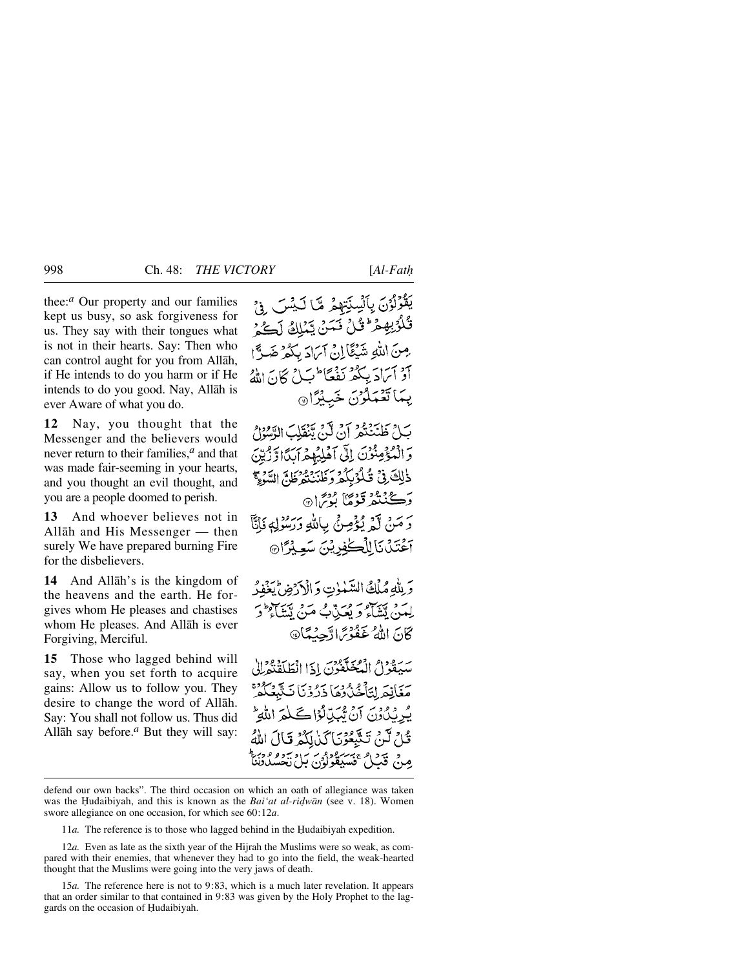thee:*<sup>a</sup>* Our property and our families kept us busy, so ask forgiveness for us. They say with their tongues what is not in their hearts. Say: Then who can control aught for you from Allåh, if He intends to do you harm or if He intends to do you good. Nay, Allåh is

**12** Nay, you thought that the Messenger and the believers would never return to their families,*<sup>a</sup>* and that was made fair-seeming in your hearts, and you thought an evil thought, and you are a people doomed to perish.

ever Aware of what you do.

**13** And whoever believes not in Allåh and His Messenger — then surely We have prepared burning Fire for the disbelievers.

**14** And Allåh's is the kingdom of the heavens and the earth. He forgives whom He pleases and chastises whom He pleases. And Allåh is ever Forgiving, Merciful.

**15** Those who lagged behind will say, when you set forth to acquire gains: Allow us to follow you. They desire to change the word of Allåh. Say: You shall not follow us. Thus did Allåh say before.*<sup>a</sup>* But they will say:

يَقُوْلُوْنَ بِٱلْسِنَتِهِمْ مِّا لَيْسَ فِيْ قُلُوُبِهِمْ ۚ قُلْ تَمَنْ يَّمُلِكُ لَكُمْ مِنَ اللَّهِ شَيْئًا إِنْ آمَادَ بِكُمْ ضَرًّا آدْ آيَادَ بِكُمْ نَفْعًا أَبَيْلُ كَانَ اللَّهُ يِّمَا تَعْمَلُونَ خَبِيْرًا ﴾

بَلْ طَنْنَتُمْ آنَ لَّنَ يَّنۡقَلِبَ الرَّسُرُلُ وَالْمُؤْمِنُونَ إِلَى آَهْلِيْهِمْ أَبِدًا وَّرْبِيِّنَ دْلِكَ فِيْ قُلُوْبِكُمْ وَكَانِبِهِ وَهُوَاسٍ السَّوَءِ ۖ دَڪنُنگُو قودُگا ٻُڻِ نَ هَ دَ مَنْ لَمْ يُؤْمِنْ بِاللَّهِ دَرَسُوْلِهِ فَإِنَّا -<br>اعْتَدْنَا لِلْكَلْفِرِيْنَ سَعِيْرًا

وَبِلْهِ مُلْكُ السَّمْوٰتِ وَالْأَرْضِ لِمَغْفِرُ لِمَنْ يَتَبَاءُ وَ يُعَذِّبُ مَنْ يَتَنَاءُ وَ كَانَ اللهُ عَفُوْتِهَا دَّجِيْتَهَا®

سَيَقُوْلُ الْمُحَلَّفُونَ إِذَا انْطَلَقْتُوْلِلْ يَخَانِعَ لِتَأْخُذُوهَا ذَرُوْنَا نَتَبَعَكُمْ يُرِيْدُونَ آنَ يُّبِّدِيْدُوْاكَلِمَ اللَّهِ تُلْ لَنْ تَتَّبِعُوْنَا كَنْ لِكُمْ قَالَ اللَّهُ مدح قبيل فسدهوم سردسوم ووراد

defend our own backs". The third occasion on which an oath of allegiance was taken was the Hudaibiyah, and this is known as the *Bai'at al-ridwan* (see v. 18). Women swore allegiance on one occasion, for which see 60:12*a*.

11*a*. The reference is to those who lagged behind in the Hudaibiyah expedition.

12*a.* Even as late as the sixth year of the Hijrah the Muslims were so weak, as compared with their enemies, that whenever they had to go into the field, the weak-hearted thought that the Muslims were going into the very jaws of death.

15*a.* The reference here is not to 9:83, which is a much later revelation. It appears that an order similar to that contained in 9:83 was given by the Holy Prophet to the laggards on the occasion of Hudaibiyah.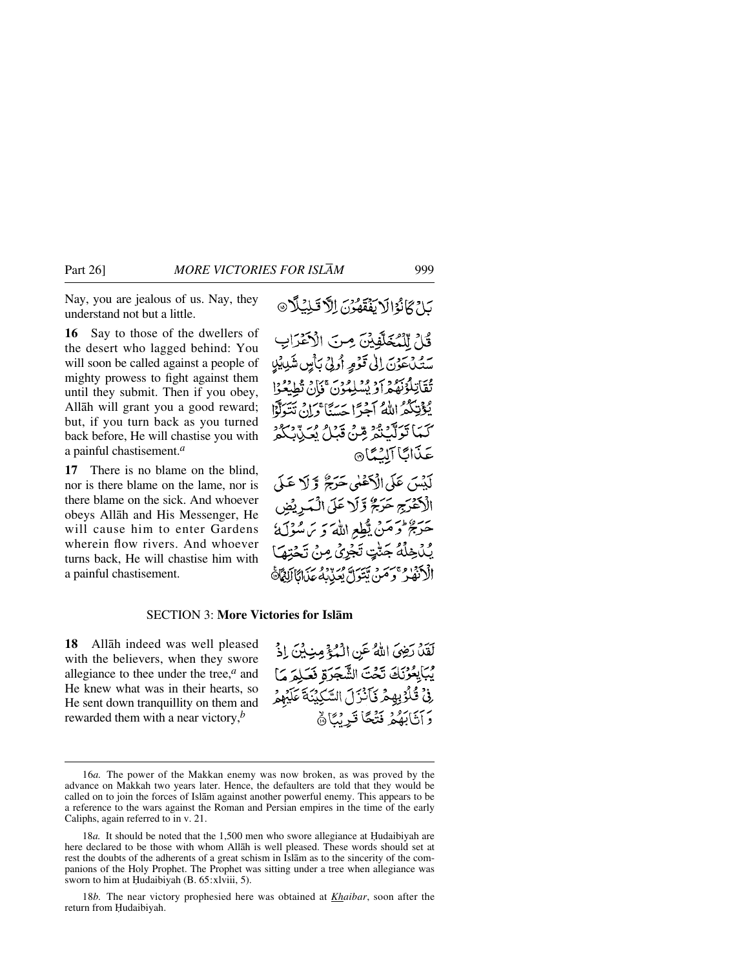Nay, you are jealous of us. Nay, they understand not but a little.

**16** Say to those of the dwellers of the desert who lagged behind: You will soon be called against a people of mighty prowess to fight against them until they submit. Then if you obey, Allåh will grant you a good reward; but, if you turn back as you turned back before, He will chastise you with a painful chastisement.*<sup>a</sup>*

**17** There is no blame on the blind, nor is there blame on the lame, nor is there blame on the sick. And whoever obeys Allåh and His Messenger, He will cause him to enter Gardens wherein flow rivers. And whoever turns back, He will chastise him with a painful chastisement.

بَلِّ كَانُوْالَا يَفْقَهُّوْنَ اِلَّا تَلِيُلًا

قُلْ لِلْمُخَلَّفِيْنَ مِنَ الْأَعْرَابِ سَتَيْكَ عَذْنَ إِلَى قَوْمِهِ أُولِيْ بِأَمِنٍ شَدِيبِيْلِ تُقَاتِلُوْنَهُمْ أَوْ يُسْلِمُوْنَ ۚ فَإِنْ تُطِيَعُوْا يُؤْتِكُمُ اللَّهُ آَجُرًا حَسَنًا وَإِنْ تَتَوَلَّوْا كَيْمَا تَوَلَّكَ يُوْمٍ قِينٍ قَدَلَ بِعَيْدِنِ مِنْ يَوْمِ عَذَابًا آلِيُمَّا® لَيْسَ عَلَى الْأَعْلَى حَرَجٌ وَلَا عَلَى الْكَفْرَجِ حَرَجٌ وَّلَا عَلَى الْبَدِيْضِ حَرَيْحُ وَحَنَّى يَبْطِعِ اللَّهَ وَ يَ سُوْلَهُ يُكْخِلُهُ جَنّْتٍ تَجْرِيُ مِنْ تَحْتِ

الْأَنْفَٰذُ وَمَنْ يَتَوَلَّ يُعَذِّبُهُ عَذَا

#### SECTION 3: **More Victories for Islåm**

**18** Allåh indeed was well pleased with the believers, when they swore allegiance to thee under the tree,*<sup>a</sup>* and He knew what was in their hearts, so He sent down tranquillity on them and rewarded them with a near victory,*<sup>b</sup>*

لَقَلْ رَضِيَ اللَّهُ عَنِ الْمُؤْمِنِيِّينَ إِذْ يْبَايِعُرْنَكَ تَحْتَ الشَّجَرَةِ فَعَلِمَ مَا فِيْ قُلُوْبِهِمْ يَأْنُزَلَ السَّكِنُنَةَ عَلَيْهِمْ دَآتَآبَهُمْ فَتْحًا قَدِيْنَاهُمْ

18*b.* The near victory prophesied here was obtained at *Khaibar*, soon after the return from Hudaibiyah.

<sup>16</sup>*a.* The power of the Makkan enemy was now broken, as was proved by the advance on Makkah two years later. Hence, the defaulters are told that they would be called on to join the forces of Islåm against another powerful enemy. This appears to be a reference to the wars against the Roman and Persian empires in the time of the early Caliphs, again referred to in v. 21.

<sup>18</sup>*a*. It should be noted that the 1,500 men who swore allegiance at Hudaibiyah are here declared to be those with whom Allåh is well pleased. These words should set at rest the doubts of the adherents of a great schism in Islåm as to the sincerity of the companions of the Holy Prophet. The Prophet was sitting under a tree when allegiance was sworn to him at Ḥudaibiyah (B. 65:xlviii, 5).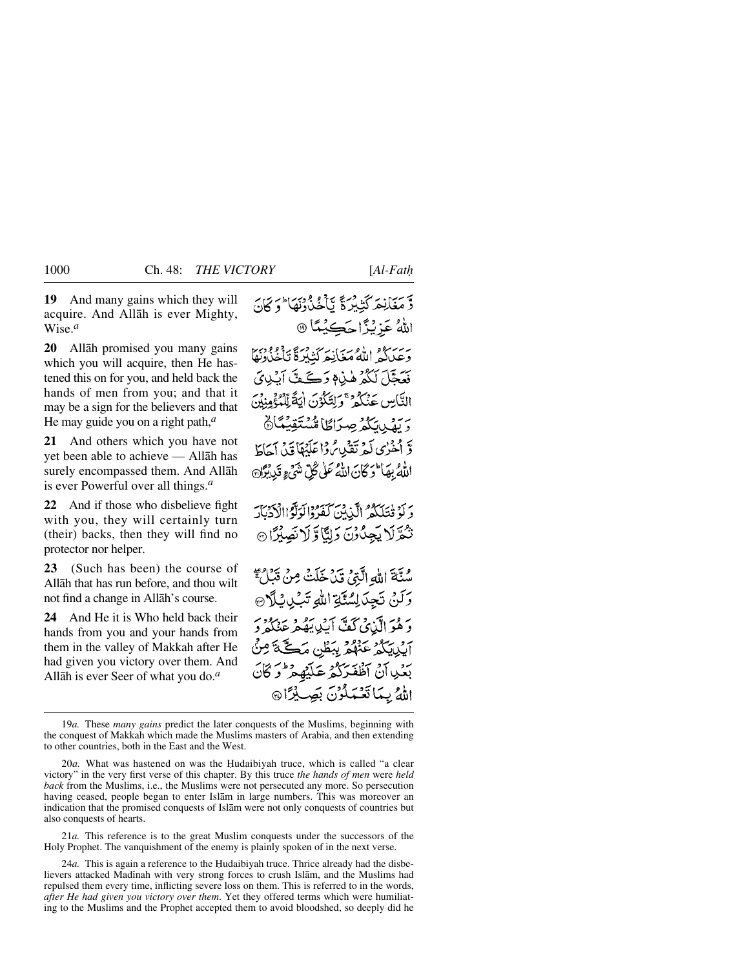**19** And many gains which they will acquire. And Allåh is ever Mighty, Wise.*<sup>a</sup>*

**20** Allåh promised you many gains which you will acquire, then He hastened this on for you, and held back the hands of men from you; and that it may be a sign for the believers and that He may guide you on a right path,*<sup>a</sup>*

**21** And others which you have not yet been able to achieve — Allåh has surely encompassed them. And Allåh is ever Powerful over all things.*<sup>a</sup>*

**22** And if those who disbelieve fight with you, they will certainly turn (their) backs, then they will find no protector nor helper.

**23** (Such has been) the course of Allåh that has run before, and thou wilt not find a change in Allåh's course.

**24** And He it is Who held back their hands from you and your hands from them in the valley of Makkah after He had given you victory over them. And Allåh is ever Seer of what you do.*<sup>a</sup>*

وستانعَه كَثِيْبِرْةً يَا مُحْدُدُنِهَا وَكَانَ اللهُ عَزِيْزًا حَڪِيْعًا ۞ بەيرىدە<br>وعىياكىر الله مغانىركتەردى ئاخنادىي فَعَجَّلَ لَکُمْ هٰذِهِ وَكَے مِّنَّ آينِدِيَ التَّامِينِ عَنْكُمْ ۚ وَلِتَكُوْنَ إِنَّةً لِّلْمُؤْمِنُونَ وَ بِفَيْدِيَكُمْ صِرَاطًا مُّسْتَقِيَّعًا وَّ أَخْرُى لَمْهُ تَقْبِهِ ثُمَّ أَعَلَيْهَا قَبْيَ آجَاطَ اللَّهُ بِهَا ۖ وَكَانَ اللَّهُ عَلَى كُلِّ نَنْهَمْ وِ قَدِينَوْلَهِ، دِ لَوْ فَتَلَكَّفُوا الَّذِينَ كَفَرُوا لَوَلَّوْاالْآدَيْكَ نْكُرَّلَا يَجِدُّوْنَ وَلِيًّا وَلَا نَصِيْرًا ۞ سُنَّةَ اللهِ الَّذِي قَدْ خَلَتْ مِنْ قَبْلُ ۚ وَلَنْ تَجِدَلِسُنَّةِ اللَّهِ تَبُلِيَٰلَا®

.<br>وَهُوَالَّذِي كُفَّ أَيُّلِ يَهُمْ عَنْكُمْ وَ أَكْبِيلِيكُمْ عَنْهُمْ بِبَطْنٍ مَكَّةً مِنْيَ بَعْدِ آنْ آظْفَرَكْمْ عَلَيْهِمْ وَكَانَ اللهُ بِيمَاتِعْتِمَلُونَ بِصَلِيْرًا۞

21*a.* This reference is to the great Muslim conquests under the successors of the Holy Prophet. The vanquishment of the enemy is plainly spoken of in the next verse.

24*a*. This is again a reference to the Hudaibiyah truce. Thrice already had the disbelievers attacked Madinah with very strong forces to crush Islam, and the Muslims had repulsed them every time, inflicting severe loss on them. This is referred to in the words, *after He had given you victory over them*. Yet they offered terms which were humiliating to the Muslims and the Prophet accepted them to avoid bloodshed, so deeply did he

<sup>19</sup>*a.* These *many gains* predict the later conquests of the Muslims, beginning with the conquest of Makkah which made the Muslims masters of Arabia, and then extending to other countries, both in the East and the West.

<sup>20</sup>*a*. What was hastened on was the Hudaibiyah truce, which is called "a clear victory" in the very first verse of this chapter. By this truce *the hands of men* were *held back* from the Muslims, i.e., the Muslims were not persecuted any more. So persecution having ceased, people began to enter Islåm in large numbers. This was moreover an indication that the promised conquests of Islåm were not only conquests of countries but also conquests of hearts.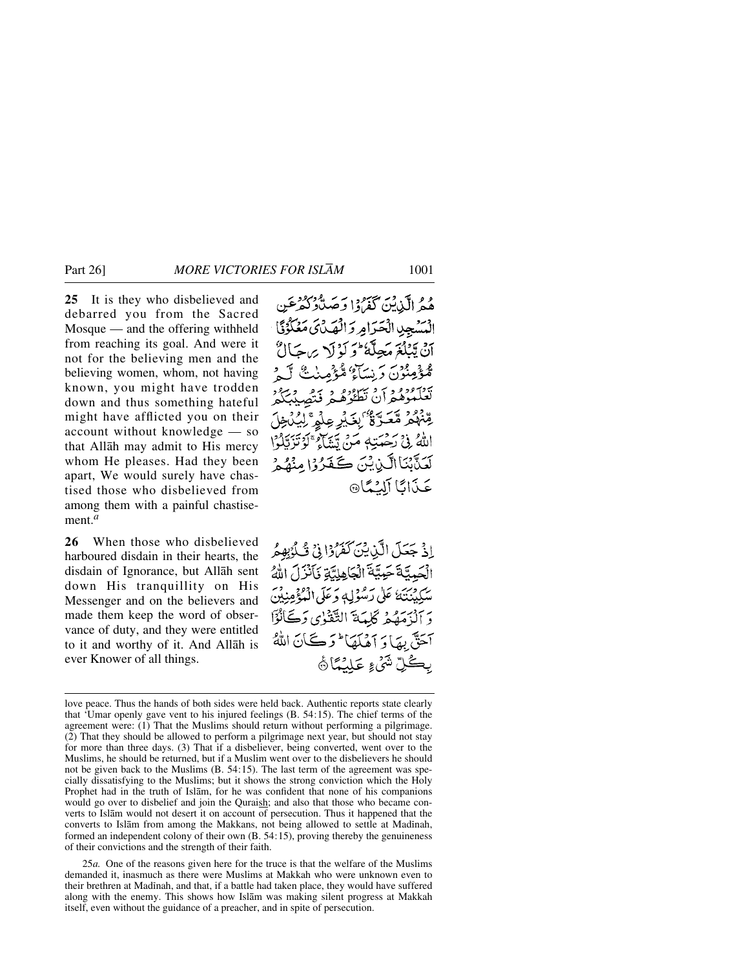**25** It is they who disbelieved and debarred you from the Sacred Mosque — and the offering withheld from reaching its goal. And were it not for the believing men and the believing women, whom, not having known, you might have trodden down and thus something hateful might have afflicted you on their account without knowledge — so that Allåh may admit to His mercy whom He pleases. Had they been apart, We would surely have chastised those who disbelieved from among them with a painful chastisement.*<sup>a</sup>*

**26** When those who disbelieved harboured disdain in their hearts, the disdain of Ignorance, but Allåh sent down His tranquillity on His Messenger and on the believers and made them keep the word of observance of duty, and they were entitled to it and worthy of it. And Allåh is ever Knower of all things.

وو الآندين كَفَرُودا وَصَدَّدْ كَفَرْعَين السَّنِجِينِ الْحَرَامِ وَالْهَدْئَ مَعْكُوْنَا أَنْ يَتَلَعُ مَجِلَّهُ ۖ وَ لَهُ لَهُ مِن حَبَالٌ مْوْمِيْنُونَ وَيْسَاْعُ مّْيَوْمِينِكْ لَ لَهِ مِ يورووون وسوره ويحصدنكم ڟؚۨ<sup>؋ۄ</sup>ۯ ڡٞڂڗۜٷؙٛٵؚۣڹڬ<u>ٲؚڔ</u>ؚ؏ڵۄۣۦٞڵؚؿؙڷڂۣڷ اللَّهُ فِي كَحْمَتِهِ مَنْ يَتَنَاءُ ۚ كَوْتَرَبَّلُوْا لَعَنَّيْنَا الَّيْدِيْنَ كَعَثَرُوْا مِنْهُمْ عَذَانًا آلَيْمًا

إِذْ جَعَلَ الَّذِينَ كَفَرُوْا فِي شُكْوَبِهِمُ الْجَمِيَّةَ حَمِيَّةَ الْجَاهِلِيَّةِ فَأَنْزَلَ اللَّهُ سُكِينِنَهُ عَلَى رَسُوْلِهٖ وَعَلَى الْمُؤْمِنِينَ دَ أَنْ مَهْيَمْهُ كَلَّمَةَ التَّقَوْيِ دَكَّانُوْٓا آَحَقَّ بِهَا وَ آَهُلَهَا ۚ وَكَانَ اللَّهُ بِكُلِّ شَيْءٍ عَلَيْهَاْ فَه

25*a.* One of the reasons given here for the truce is that the welfare of the Muslims demanded it, inasmuch as there were Muslims at Makkah who were unknown even to their brethren at Madinah, and that, if a battle had taken place, they would have suffered along with the enemy. This shows how Islåm was making silent progress at Makkah itself, even without the guidance of a preacher, and in spite of persecution.

love peace. Thus the hands of both sides were held back. Authentic reports state clearly that 'Umar openly gave vent to his injured feelings (B. 54:15). The chief terms of the agreement were: (1) That the Muslims should return without performing a pilgrimage. (2) That they should be allowed to perform a pilgrimage next year, but should not stay for more than three days. (3) That if a disbeliever, being converted, went over to the Muslims, he should be returned, but if a Muslim went over to the disbelievers he should not be given back to the Muslims (B. 54:15). The last term of the agreement was specially dissatisfying to the Muslims; but it shows the strong conviction which the Holy Prophet had in the truth of Islåm, for he was confident that none of his companions would go over to disbelief and join the Quraish; and also that those who became converts to Islåm would not desert it on account of persecution. Thus it happened that the converts to Islām from among the Makkans, not being allowed to settle at Madinah, formed an independent colony of their own (B. 54:15), proving thereby the genuineness of their convictions and the strength of their faith.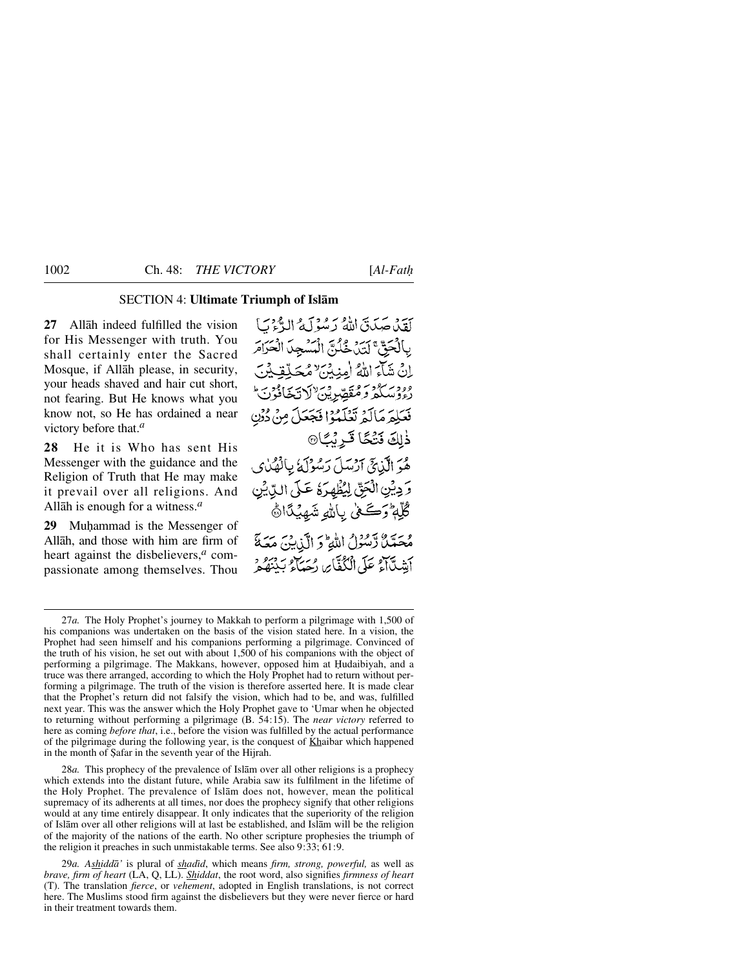### SECTION 4: **Ultimate Triumph of Islåm**

**27** Allåh indeed fulfilled the vision for His Messenger with truth. You shall certainly enter the Sacred Mosque, if Allåh please, in security, your heads shaved and hair cut short, not fearing. But He knows what you know not, so He has ordained a near victory before that.*<sup>a</sup>*

**28** He it is Who has sent His Messenger with the guidance and the Religion of Truth that He may make it prevail over all religions. And Allåh is enough for a witness.*<sup>a</sup>*

29 Muhammad is the Messenger of Allåh, and those with him are firm of heart against the disbelievers,*<sup>a</sup>* compassionate among themselves. Thou

كَقِيْدِ صَدَيْقَ لِللَّهُ بِهِ مُنْهَ لَيْݣُ الْبَدَّءَ بَ بالْحَقِّ لَتَدِيقُونَ الْمَسْعِدَ الْعَرَامَرِ إِنْ شَاءَ اللَّهُ (مِنِيْنَ لِمُحَلَّقِيْنِ وودسوديره فتقصر يس لأديجا فون فَعَلِمَ مَالَمْ تَعْلَمُوْا فَجَعَلَ مِنْ دُنِنِ ذٰلِكَ فَتُكَا قَرِيْبًا۞ هُوَ الَّذِيَّ آرْسَلَ رَسُوْلَهُ بِالْهُدْى وَ دِيْنِ الْحَقِّ لِيُظْهِرَهُ عَلَى اللَّهِ يُن ڴڸَّةٖ وَكَعْنِي بِاللَّهِ شَهِيْدًا۞ مُحَمَّلٌ تَسُوْلُ اللَّهِ وَ الَّذِينَ مَعَةَ أَبِشَدَّآَهُ عَلَى الْكُفَّايِرِ، دَسَيْلُو بَيْنَهُ مَرْ

28*a.* This prophecy of the prevalence of Islåm over all other religions is a prophecy which extends into the distant future, while Arabia saw its fulfilment in the lifetime of the Holy Prophet. The prevalence of Islåm does not, however, mean the political supremacy of its adherents at all times, nor does the prophecy signify that other religions would at any time entirely disappear. It only indicates that the superiority of the religion of Islåm over all other religions will at last be established, and Islåm will be the religion of the majority of the nations of the earth. No other scripture prophesies the triumph of the religion it preaches in such unmistakable terms. See also 9:33; 61:9.

<sup>27</sup>*a.* The Holy Prophet's journey to Makkah to perform a pilgrimage with 1,500 of his companions was undertaken on the basis of the vision stated here. In a vision, the Prophet had seen himself and his companions performing a pilgrimage. Convinced of the truth of his vision, he set out with about 1,500 of his companions with the object of performing a pilgrimage. The Makkans, however, opposed him at Hudaibiyah, and a truce was there arranged, according to which the Holy Prophet had to return without performing a pilgrimage. The truth of the vision is therefore asserted here. It is made clear that the Prophet's return did not falsify the vision, which had to be, and was, fulfilled next year. This was the answer which the Holy Prophet gave to 'Umar when he objected to returning without performing a pilgrimage (B. 54:15). The *near victory* referred to here as coming *before that*, i.e., before the vision was fulfilled by the actual performance of the pilgrimage during the following year, is the conquest of Khaibar which happened in the month of Şafar in the seventh year of the Hijrah.

<sup>29</sup>*a. Ashiddå'* is plural of *shadßd*, which means *firm, strong, powerful,* as well as *brave, firm of heart* (LA, Q, LL). *Shiddat*, the root word, also signifies *firmness of heart* (T). The translation *fierce*, or *vehement*, adopted in English translations, is not correct here. The Muslims stood firm against the disbelievers but they were never fierce or hard in their treatment towards them.